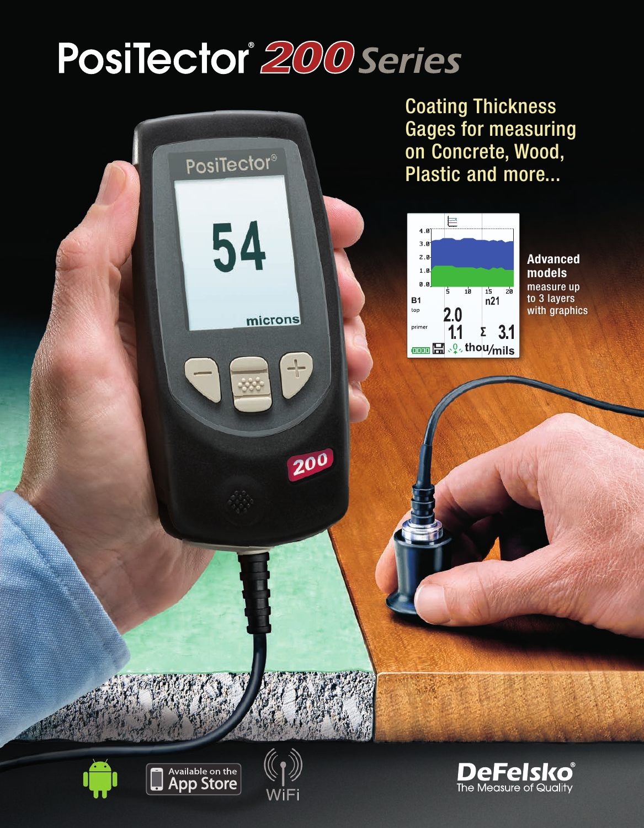# PosiTector® 200 Series

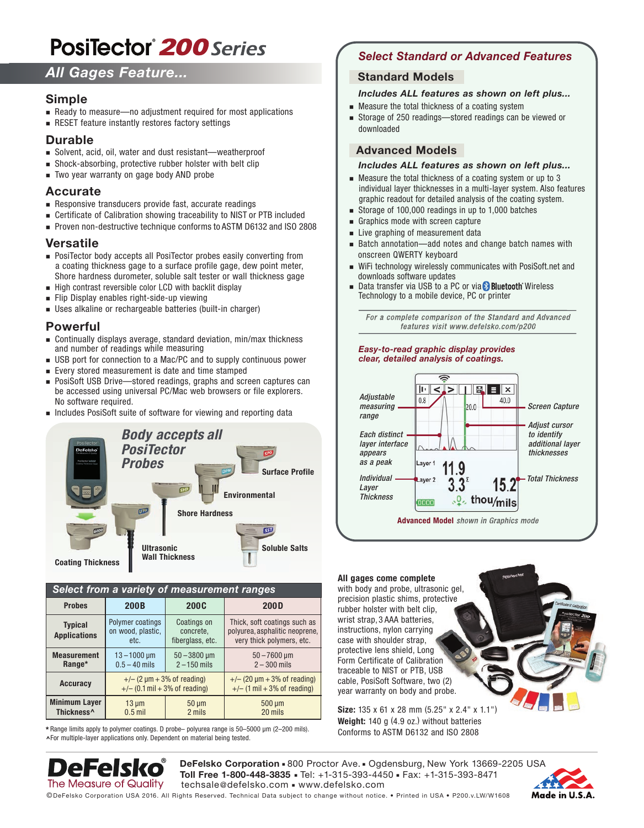# **PosiTector 200 Series**

# *All Gages Feature...*

#### **Simple**

- Ready to measure—no adjustment required for most applications
- **RESET** feature instantly restores factory settings

#### **Durable**

- Solvent, acid, oil, water and dust resistant—weatherproof
- <sup>n</sup> Shock-absorbing, protective rubber holster with belt clip
- Two year warranty on gage body AND probe

#### **Accurate**

- $\blacksquare$  Responsive transducers provide fast, accurate readings
- Certificate of Calibration showing traceability to NIST or PTB included
- Proven non-destructive technique conforms to ASTM D6132 and ISO 2808

#### **Versatile**

- <sup>n</sup> PosiTector body accepts all PosiTector probes easily converting from a coating thickness gage to a surface profile gage, dew point meter, Shore hardness durometer, soluble salt tester or wall thickness gage
- $\blacksquare$  High contrast reversible color LCD with backlit display
- <sup>n</sup> Flip Display enables right-side-up viewing
- <sup>n</sup> Uses alkaline or rechargeable batteries (built-in charger)

#### **Powerful**

- $\blacksquare$  Continually displays average, standard deviation, min/max thickness and number of readings while measuring
- $\blacksquare$  USB port for connection to a Mac/PC and to supply continuous power
- nEvery stored measurement is date and time stamped
- n PosiSoft USB Drive—stored readings, graphs and screen captures can be accessed using universal PC/Mac web browsers or file explorers. No software required.
- $\,$  Includes PosiSoft suite of software for viewing and reporting data



| Select from a variety of measurement ranges    |                                                                 |                                              |                                                                                             |
|------------------------------------------------|-----------------------------------------------------------------|----------------------------------------------|---------------------------------------------------------------------------------------------|
| <b>Probes</b>                                  | <b>200B</b>                                                     | 200C                                         | <b>200D</b>                                                                                 |
| <b>Typical</b><br><b>Applications</b>          | Polymer coatings<br>on wood, plastic,<br>etc.                   | Coatings on<br>concrete.<br>fiberglass, etc. | Thick, soft coatings such as<br>polyurea, asphalitic neoprene,<br>very thick polymers, etc. |
| <b>Measurement</b><br>Range*                   | $13 - 1000 \,\text{µm}$<br>$0.5 - 40$ mils                      | $50 - 3800$ µm<br>$2 - 150$ mils             | $50 - 7600$ µm<br>$2 - 300$ mils                                                            |
| <b>Accuracy</b>                                | $+/-$ (2 µm + 3% of reading)<br>$+/-$ (0.1 mil + 3% of reading) |                                              | $+/-$ (20 $\mu$ m + 3% of reading)<br>$+/-$ (1 mil + 3% of reading)                         |
| <b>Minimum Layer</b><br>Thickness <sup>^</sup> | $13 \mu m$<br>$0.5$ mil                                         | $50 \mu m$<br>2 mils                         | $500 \mu m$<br>20 mils                                                                      |

**\*** Range limits apply to polymer coatings. D probe– polyurea range is 50–5000 µm (2–200 mils). **^**For multiple-layer applications only. Dependent on material being tested.

## *Select Standard or Advanced Features*

#### **Standard Models**

#### *Includes ALL features as shown on left plus...*

- $\blacksquare$  Measure the total thickness of a coating system
- Storage of 250 readings—stored readings can be viewed or downloaded

#### **Advanced Models**

#### *Includes ALL features as shown on left plus...*

- $\blacksquare$  Measure the total thickness of a coating system or up to 3 individual layer thicknesses in a multi-layer system. Also features graphic readout for detailed analysis of the coating system.
- Storage of 100,000 readings in up to 1,000 batches
- $\blacksquare$  Graphics mode with screen capture
- $\blacksquare$  Live graphing of measurement data
- Batch annotation—add notes and change batch names with onscreen QWERTY keyboard
- WiFi technology wirelessly communicates with PosiSoft.net and downloads software updates
- Data transfer via USB to a PC or via  $\gg$  Bluetooth Wireless Technology to a mobile device, PC or printer

For a complete comparison of the Standard and Advanced .<br>features visit www.defelsko.com/p200







**Size:** 135 x 61 x 28 mm (5.25" x 2.4" x 1.1") **Weight:** 140 g (4.9 oz.) without batteries Conforms to ASTM D6132 and ISO 2808



**DeFelsko Corporation .** 800 Proctor Ave.**.** Ogdensburg, New York 13669-2205 USA **Toll Free 1-800-448-3835 .** Tel: +1-315-393-4450 **.** Fax: +1-315-393-8471 33 **ioli Free 1-800-448-3835 =** Iel: +1-315-393-44;<br>techsale@defelsko.com = www.defelsko.com



© DeFelsko Corporation USA 2016. All Rights Reserved. Technical Data subject to change without notice. • Printed in USA • P200.v.LW/W1608